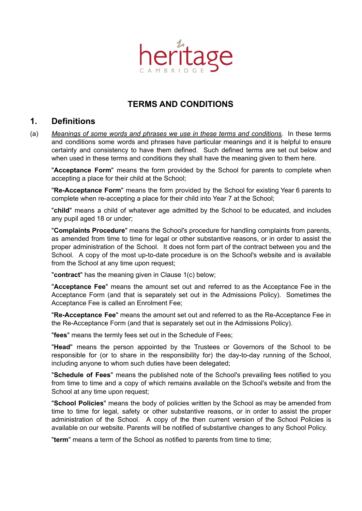

# **TERMS AND CONDITIONS**

### **1. Definitions**

(a) *Meanings of some words and phrases we use in these terms and conditions.* In these terms and conditions some words and phrases have particular meanings and it is helpful to ensure certainty and consistency to have them defined. Such defined terms are set out below and when used in these terms and conditions they shall have the meaning given to them here.

"**Acceptance Form**" means the form provided by the School for parents to complete when accepting a place for their child at the School;

"**Re-Acceptance Form**" means the form provided by the School for existing Year 6 parents to complete when re-accepting a place for their child into Year 7 at the School;

"**child**" means a child of whatever age admitted by the School to be educated, and includes any pupil aged 18 or under;

"**Complaints Procedure**" means the School's procedure for handling complaints from parents, as amended from time to time for legal or other substantive reasons, or in order to assist the proper administration of the School. It does not form part of the contract between you and the School. A copy of the most up-to-date procedure is on the School's website and is available from the School at any time upon request;

"**contract**" has the meaning given in Clause 1(c) below;

"**Acceptance Fee**" means the amount set out and referred to as the Acceptance Fee in the Acceptance Form (and that is separately set out in the Admissions Policy). Sometimes the Acceptance Fee is called an Enrolment Fee;

"**Re-Acceptance Fee**" means the amount set out and referred to as the Re-Acceptance Fee in the Re-Acceptance Form (and that is separately set out in the Admissions Policy).

"**fees**" means the termly fees set out in the Schedule of Fees;

"**Head**" means the person appointed by the Trustees or Governors of the School to be responsible for (or to share in the responsibility for) the day-to-day running of the School, including anyone to whom such duties have been delegated;

"**Schedule of Fees**" means the published note of the School's prevailing fees notified to you from time to time and a copy of which remains available on the School's website and from the School at any time upon request:

"**School Policies**" means the body of policies written by the School as may be amended from time to time for legal, safety or other substantive reasons, or in order to assist the proper administration of the School. A copy of the then current version of the School Policies is available on our website. Parents will be notified of substantive changes to any School Policy.

"**term**" means a term of the School as notified to parents from time to time;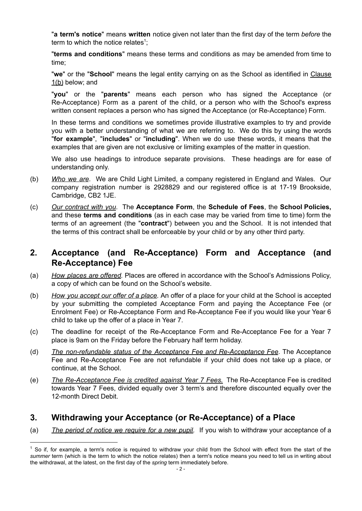"**a term's notice**" means **written** notice given not later than the first day of the term *before* the term to which the notice relates<sup>1</sup>;

"**terms and conditions**" means these terms and conditions as may be amended from time to time;

"**we**" or the "**School**" means the legal entity carrying on as the School as identified in Clause 1(b) below; and

"**you**" or the "**parents**" means each person who has signed the Acceptance (or Re-Acceptance) Form as a parent of the child, or a person who with the School's express written consent replaces a person who has signed the Acceptance (or Re-Acceptance) Form.

In these terms and conditions we sometimes provide illustrative examples to try and provide you with a better understanding of what we are referring to. We do this by using the words "**for example**", "**includes**" or "**including**". When we do use these words, it means that the examples that are given are not exclusive or limiting examples of the matter in question.

We also use headings to introduce separate provisions. These headings are for ease of understanding only.

- (b) *Who we are*. We are Child Light Limited, a company registered in England and Wales. Our company registration number is 2928829 and our registered office is at 17-19 Brookside, Cambridge, CB2 1JE.
- (c) *Our contract with you*. The **Acceptance Form**, the **Schedule of Fees**, the **School Policies,** and these **terms and conditions** (as in each case may be varied from time to time) form the terms of an agreement (the "**contract**") between you and the School. It is not intended that the terms of this contract shall be enforceable by your child or by any other third party.

## **2. Acceptance (and Re-Acceptance) Form and Acceptance (and Re-Acceptance) Fee**

- (a) *How places are offered.* Places are offered in accordance with the School's Admissions Policy, a copy of which can be found on the School's website.
- (b) *How you accept our offer of a place.* An offer of a place for your child at the School is accepted by your submitting the completed Acceptance Form and paying the Acceptance Fee (or Enrolment Fee) or Re-Acceptance Form and Re-Acceptance Fee if you would like your Year 6 child to take up the offer of a place in Year 7.
- (c) The deadline for receipt of the Re-Acceptance Form and Re-Acceptance Fee for a Year 7 place is 9am on the Friday before the February half term holiday.
- (d) *The non-refundable status of the Acceptance Fee and Re-Acceptance Fee*. The Acceptance Fee and Re-Acceptance Fee are not refundable if your child does not take up a place, or continue, at the School.
- (e) *The Re-Acceptance Fee is credited against Year 7 Fees.* The Re-Acceptance Fee is credited towards Year 7 Fees, divided equally over 3 term's and therefore discounted equally over the 12-month Direct Debit.

### **3. Withdrawing your Acceptance (or Re-Acceptance) of a Place**

(a) *The period of notice we require for a new pupil*. If you wish to withdraw your acceptance of a

 $<sup>1</sup>$  So if, for example, a term's notice is required to withdraw your child from the School with effect from the start of the</sup> *summer* term (which is the term to which the notice relates) then a term's notice means you need to tell us in writing about the withdrawal, at the latest, on the first day of the *spring* term immediately before.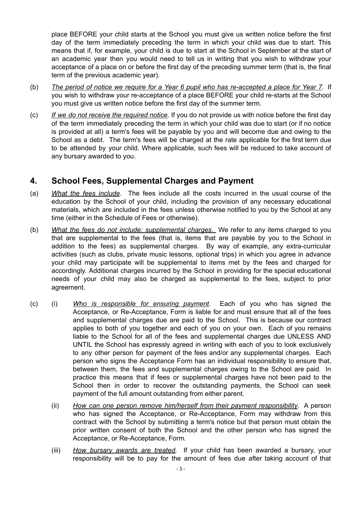place BEFORE your child starts at the School you must give us written notice before the first day of the term immediately preceding the term in which your child was due to start. This means that if, for example, your child is due to start at the School in September at the start of an academic year then you would need to tell us in writing that you wish to withdraw your acceptance of a place on or before the first day of the preceding summer term (that is, the final term of the previous academic year).

- (b) The period of notice we require for a Year 6 pupil who has re-accepted a place for Year 7. If you wish to withdraw your re-acceptance of a place BEFORE your child re-starts at the School you must give us written notice before the first day of the summer term.
- (c) *If we do not receive the required notice*. If you do not provide us with notice before the first day of the term immediately preceding the term in which your child was due to start (or if no notice is provided at all) a term's fees will be payable by you and will become due and owing to the School as a debt. The term's fees will be charged at the rate applicable for the first term due to be attended by your child. Where applicable, such fees will be reduced to take account of any bursary awarded to you.

# **4. School Fees, Supplemental Charges and Payment**

- (a) *What the fees include*. The fees include all the costs incurred in the usual course of the education by the School of your child, including the provision of any necessary educational materials, which are included in the fees unless otherwise notified to you by the School at any time (either in the Schedule of Fees or otherwise).
- (b) *What the fees do not include: supplemental charges*. We refer to any items charged to you that are supplemental to the fees (that is, items that are payable by you to the School in addition to the fees) as supplemental charges. By way of example, any extra-curricular activities (such as clubs, private music lessons, optional trips) in which you agree in advance your child may participate will be supplemental to items met by the fees and charged for accordingly. Additional charges incurred by the School in providing for the special educational needs of your child may also be charged as supplemental to the fees, subject to prior agreement.
- (c) (i) *Who is responsible for ensuring payment*. Each of you who has signed the Acceptance, or Re-Acceptance, Form is liable for and must ensure that all of the fees and supplemental charges due are paid to the School. This is because our contract applies to both of you together and each of you on your own. Each of you remains liable to the School for all of the fees and supplemental charges due UNLESS AND UNTIL the School has expressly agreed in writing with each of you to look exclusively to any other person for payment of the fees and/or any supplemental charges. Each person who signs the Acceptance Form has an individual responsibility to ensure that, between them, the fees and supplemental charges owing to the School are paid. In practice this means that if fees or supplemental charges have not been paid to the School then in order to recover the outstanding payments, the School can seek payment of the full amount outstanding from either parent.
	- (ii) *How can one person remove him/herself from their payment responsibility*. A person who has signed the Acceptance, or Re-Acceptance, Form may withdraw from this contract with the School by submitting a term's notice but that person must obtain the prior written consent of both the School and the other person who has signed the Acceptance, or Re-Acceptance, Form.
	- (iii) *How bursary awards are treated*. If your child has been awarded a bursary, your responsibility will be to pay for the amount of fees due after taking account of that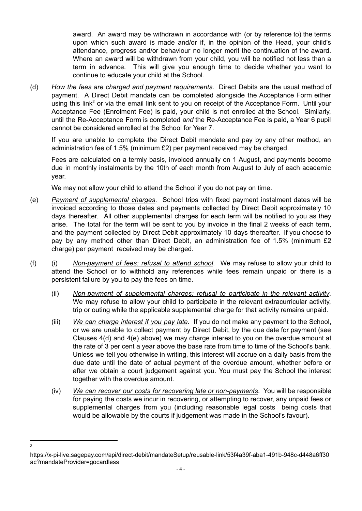award. An award may be withdrawn in accordance with (or by reference to) the terms upon which such award is made and/or if, in the opinion of the Head, your child's attendance, progress and/or behaviour no longer merit the continuation of the award. Where an award will be withdrawn from your child, you will be notified not less than a term in advance. This will give you enough time to decide whether you want to continue to educate your child at the School.

(d) *How the fees are charged and payment requirements*. Direct Debits are the usual method of payment. A Direct Debit mandate can be completed alongside the Acceptance Form either using this link<sup>2</sup> or via the email link sent to you on receipt of the Acceptance Form. Until your Acceptance Fee (Enrolment Fee) is paid, your child is not enrolled at the School. Similarly, until the Re-Acceptance Form is completed *and* the Re-Acceptance Fee is paid, a Year 6 pupil cannot be considered enrolled at the School for Year 7.

If you are unable to complete the Direct Debit mandate and pay by any other method, an administration fee of 1.5% (minimum £2) per payment received may be charged.

Fees are calculated on a termly basis, invoiced annually on 1 August, and payments become due in monthly instalments by the 10th of each month from August to July of each academic year.

We may not allow your child to attend the School if you do not pay on time.

- (e) *Payment of supplemental charges*. School trips with fixed payment instalment dates will be invoiced according to those dates and payments collected by Direct Debit approximately 10 days thereafter. All other supplemental charges for each term will be notified to you as they arise. The total for the term will be sent to you by invoice in the final 2 weeks of each term, and the payment collected by Direct Debit approximately 10 days thereafter. If you choose to pay by any method other than Direct Debit, an administration fee of 1.5% (minimum £2 charge) per payment received may be charged.
- (f) (i) *Non-payment of fees: refusal to attend school*. We may refuse to allow your child to attend the School or to withhold any references while fees remain unpaid or there is a persistent failure by you to pay the fees on time.
	- (ii) *Non-payment of supplemental charges: refusal to participate in the relevant activity*. We may refuse to allow your child to participate in the relevant extracurricular activity, trip or outing while the applicable supplemental charge for that activity remains unpaid.
	- (iii) *We can charge interest if you pay late*. If you do not make any payment to the School, or we are unable to collect payment by Direct Debit, by the due date for payment (see Clauses 4(d) and 4(e) above) we may charge interest to you on the overdue amount at the rate of 3 per cent a year above the base rate from time to time of the School's bank. Unless we tell you otherwise in writing, this interest will accrue on a daily basis from the due date until the date of actual payment of the overdue amount, whether before or after we obtain a court judgement against you. You must pay the School the interest together with the overdue amount.
	- (iv) *We can recover our costs for recovering late or non-payments*. You will be responsible for paying the costs we incur in recovering, or attempting to recover, any unpaid fees or supplemental charges from you (including reasonable legal costs being costs that would be allowable by the courts if judgement was made in the School's favour).

<sup>2</sup>

https://x-pi-live.sagepay.com/api/direct-debit/mandateSetup/reusable-link/53f4a39f-aba1-491b-948c-d448a6ff30 ac?mandateProvider=gocardless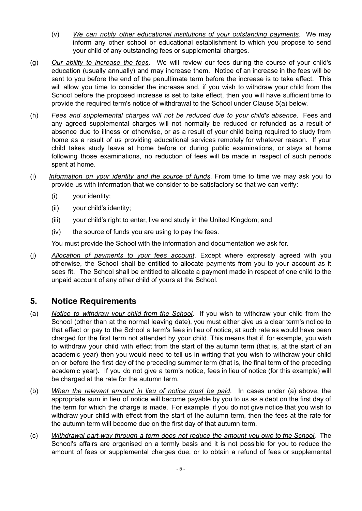- (v) *We can notify other educational institutions of your outstanding payments*. We may inform any other school or educational establishment to which you propose to send your child of any outstanding fees or supplemental charges.
- (g) *Our ability to increase the fees*. We will review our fees during the course of your child's education (usually annually) and may increase them. Notice of an increase in the fees will be sent to you before the end of the penultimate term before the increase is to take effect. This will allow you time to consider the increase and, if you wish to withdraw your child from the School before the proposed increase is set to take effect, then you will have sufficient time to provide the required term's notice of withdrawal to the School under Clause 5(a) below.
- (h) *Fees and supplemental charges will not be reduced due to your child's absence*. Fees and any agreed supplemental charges will not normally be reduced or refunded as a result of absence due to illness or otherwise, or as a result of your child being required to study from home as a result of us providing educational services remotely for whatever reason. If your child takes study leave at home before or during public examinations, or stays at home following those examinations, no reduction of fees will be made in respect of such periods spent at home.
- (i) *Information on your identity and the source of funds*. From time to time we may ask you to provide us with information that we consider to be satisfactory so that we can verify:
	- (i) your identity;
	- (ii) your child's identity;
	- (iii) your child's right to enter, live and study in the United Kingdom; and
	- (iv) the source of funds you are using to pay the fees.

You must provide the School with the information and documentation we ask for.

(j) *Allocation of payments to your fees account*. Except where expressly agreed with you otherwise, the School shall be entitled to allocate payments from you to your account as it sees fit. The School shall be entitled to allocate a payment made in respect of one child to the unpaid account of any other child of yours at the School.

# **5. Notice Requirements**

- (a) *Notice to withdraw your child from the School*. If you wish to withdraw your child from the School (other than at the normal leaving date), you must either give us a clear term's notice to that effect or pay to the School a term's fees in lieu of notice, at such rate as would have been charged for the first term not attended by your child. This means that if, for example, you wish to withdraw your child with effect from the start of the autumn term (that is, at the start of an academic year) then you would need to tell us in writing that you wish to withdraw your child on or before the first day of the preceding summer term (that is, the final term of the preceding academic year). If you do not give a term's notice, fees in lieu of notice (for this example) will be charged at the rate for the autumn term.
- (b) *When the relevant amount in lieu of notice must be paid*. In cases under (a) above, the appropriate sum in lieu of notice will become payable by you to us as a debt on the first day of the term for which the charge is made. For example, if you do not give notice that you wish to withdraw your child with effect from the start of the autumn term, then the fees at the rate for the autumn term will become due on the first day of that autumn term.
- (c) *Withdrawal part-way through a term does not reduce the amount you owe to the School*. The School's affairs are organised on a termly basis and it is not possible for you to reduce the amount of fees or supplemental charges due, or to obtain a refund of fees or supplemental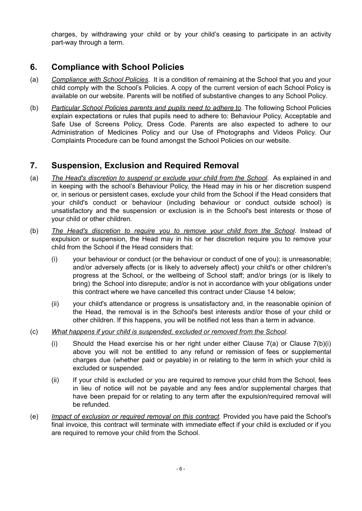charges, by withdrawing your child or by your child's ceasing to participate in an activity part-way through a term.

# **6. Compliance with School Policies**

- (a) *Compliance with School Policies*. It is a condition of remaining at the School that you and your child comply with the School's Policies. A copy of the current version of each School Policy is available on our website. Parents will be notified of substantive changes to any School Policy.
- (b) *Particular School Policies parents and pupils need to adhere to*. The following School Policies explain expectations or rules that pupils need to adhere to: Behaviour Policy, Acceptable and Safe Use of Screens Policy, Dress Code. Parents are also expected to adhere to our Administration of Medicines Policy and our Use of Photographs and Videos Policy. Our Complaints Procedure can be found amongst the School Policies on our website.

# **7. Suspension, Exclusion and Required Removal**

- (a) *The Head's discretion to suspend or exclude your child from the School*. As explained in and in keeping with the school's Behaviour Policy, the Head may in his or her discretion suspend or, in serious or persistent cases, exclude your child from the School if the Head considers that your child's conduct or behaviour (including behaviour or conduct outside school) is unsatisfactory and the suspension or exclusion is in the School's best interests or those of your child or other children.
- (b) *The Head's discretion to require you to remove your child from the School*. Instead of expulsion or suspension, the Head may in his or her discretion require you to remove your child from the School if the Head considers that:
	- (i) your behaviour or conduct (or the behaviour or conduct of one of you): is unreasonable; and/or adversely affects (or is likely to adversely affect) your child's or other children's progress at the School, or the wellbeing of School staff; and/or brings (or is likely to bring) the School into disrepute; and/or is not in accordance with your obligations under this contract where we have cancelled this contract under Clause 14 below;
	- (ii) your child's attendance or progress is unsatisfactory and, in the reasonable opinion of the Head, the removal is in the School's best interests and/or those of your child or other children. If this happens, you will be notified not less than a term in advance.
- (c) *What happens if your child is suspended, excluded or removed from the School*.
	- (i) Should the Head exercise his or her right under either Clause  $7(a)$  or Clause  $7(b)(i)$ above you will not be entitled to any refund or remission of fees or supplemental charges due (whether paid or payable) in or relating to the term in which your child is excluded or suspended.
	- (ii) If your child is excluded or you are required to remove your child from the School, fees in lieu of notice will not be payable and any fees and/or supplemental charges that have been prepaid for or relating to any term after the expulsion/required removal will be refunded.
- (e) *Impact of exclusion or required removal on this contract.* Provided you have paid the School's final invoice, this contract will terminate with immediate effect if your child is excluded or if you are required to remove your child from the School.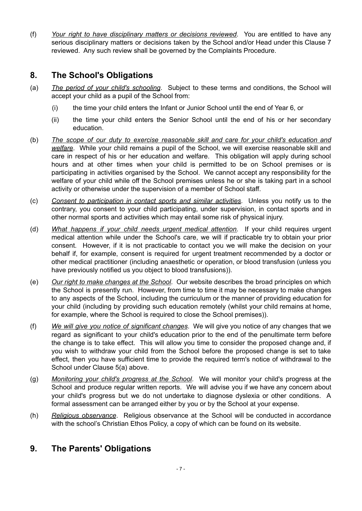(f) *Your right to have disciplinary matters or decisions reviewed*. You are entitled to have any serious disciplinary matters or decisions taken by the School and/or Head under this Clause 7 reviewed. Any such review shall be governed by the Complaints Procedure.

# **8. The School's Obligations**

- (a) *The period of your child's schooling*. Subject to these terms and conditions, the School will accept your child as a pupil of the School from:
	- (i) the time your child enters the Infant or Junior School until the end of Year 6, or
	- (ii) the time your child enters the Senior School until the end of his or her secondary education.
- (b) *The scope of our duty to exercise reasonable skill and care for your child's education and welfare*. While your child remains a pupil of the School, we will exercise reasonable skill and care in respect of his or her education and welfare. This obligation will apply during school hours and at other times when your child is permitted to be on School premises or is participating in activities organised by the School. We cannot accept any responsibility for the welfare of your child while off the School premises unless he or she is taking part in a school activity or otherwise under the supervision of a member of School staff.
- (c) *Consent to participation in contact sports and similar activities*. Unless you notify us to the contrary, you consent to your child participating, under supervision, in contact sports and in other normal sports and activities which may entail some risk of physical injury.
- (d) *What happens if your child needs urgent medical attention*. If your child requires urgent medical attention while under the School's care, we will if practicable try to obtain your prior consent. However, if it is not practicable to contact you we will make the decision on your behalf if, for example, consent is required for urgent treatment recommended by a doctor or other medical practitioner (including anaesthetic or operation, or blood transfusion (unless you have previously notified us you object to blood transfusions)).
- (e) *Our right to make changes at the School*. Our website describes the broad principles on which the School is presently run. However, from time to time it may be necessary to make changes to any aspects of the School, including the curriculum or the manner of providing education for your child (including by providing such education remotely (whilst your child remains at home, for example, where the School is required to close the School premises)).
- (f) *We will give you notice of significant changes*. We will give you notice of any changes that we regard as significant to your child's education prior to the end of the penultimate term before the change is to take effect. This will allow you time to consider the proposed change and, if you wish to withdraw your child from the School before the proposed change is set to take effect, then you have sufficient time to provide the required term's notice of withdrawal to the School under Clause 5(a) above.
- (g) *Monitoring your child's progress at the School*. We will monitor your child's progress at the School and produce regular written reports. We will advise you if we have any concern about your child's progress but we do not undertake to diagnose dyslexia or other conditions. A formal assessment can be arranged either by you or by the School at your expense.
- (h) *Religious observance*. Religious observance at the School will be conducted in accordance with the school's Christian Ethos Policy, a copy of which can be found on its website.

### **9. The Parents' Obligations**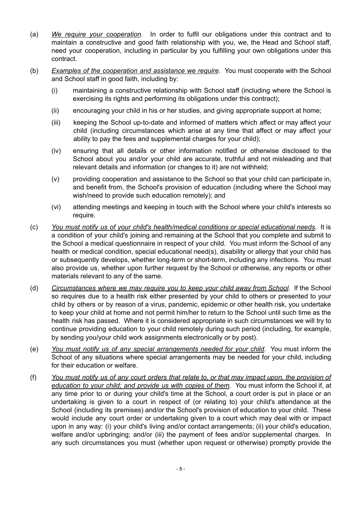- (a) *We require your cooperation*. In order to fulfil our obligations under this contract and to maintain a constructive and good faith relationship with you, we, the Head and School staff, need your cooperation, including in particular by you fulfilling your own obligations under this contract.
- (b) *Examples of the cooperation and assistance we require*. You must cooperate with the School and School staff in good faith, including by:
	- (i) maintaining a constructive relationship with School staff (including where the School is exercising its rights and performing its obligations under this contract):
	- (ii) encouraging your child in his or her studies, and giving appropriate support at home;
	- (iii) keeping the School up-to-date and informed of matters which affect or may affect your child (including circumstances which arise at any time that affect or may affect your ability to pay the fees and supplemental charges for your child);
	- (iv) ensuring that all details or other information notified or otherwise disclosed to the School about you and/or your child are accurate, truthful and not misleading and that relevant details and information (or changes to it) are not withheld;
	- (v) providing cooperation and assistance to the School so that your child can participate in, and benefit from, the School's provision of education (including where the School may wish/need to provide such education remotely); and
	- (vi) attending meetings and keeping in touch with the School where your child's interests so require.
- (c) *You must notify us of your child's health/medical conditions or special educational needs*. It is a condition of your child's joining and remaining at the School that you complete and submit to the School a medical questionnaire in respect of your child. You must inform the School of any health or medical condition, special educational need(s), disability or allergy that your child has or subsequently develops, whether long-term or short-term, including any infections. You must also provide us, whether upon further request by the School or otherwise, any reports or other materials relevant to any of the same.
- (d) *Circumstances where we may require you to keep your child away from School*. If the School so requires due to a health risk either presented by your child to others or presented to your child by others or by reason of a virus, pandemic, epidemic or other health risk, you undertake to keep your child at home and not permit him/her to return to the School until such time as the health risk has passed. Where it is considered appropriate in such circumstances we will try to continue providing education to your child remotely during such period (including, for example, by sending you/your child work assignments electronically or by post).
- (e) *You must notify us of any special arrangements needed for your child*. You must inform the School of any situations where special arrangements may be needed for your child, including for their education or welfare.
- (f) You must notify us of any court orders that relate to, or that may impact upon, the provision of *education to your child; and provide us with copies of them*. You must inform the School if, at any time prior to or during your child's time at the School, a court order is put in place or an undertaking is given to a court in respect of (or relating to) your child's attendance at the School (including its premises) and/or the School's provision of education to your child. These would include any court order or undertaking given to a court which may deal with or impact upon in any way: (i) your child's living and/or contact arrangements; (ii) your child's education, welfare and/or upbringing; and/or (iii) the payment of fees and/or supplemental charges. In any such circumstances you must (whether upon request or otherwise) promptly provide the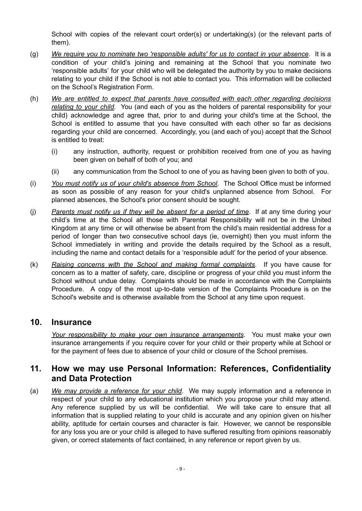School with copies of the relevant court order(s) or undertaking(s) (or the relevant parts of them).

- (g) *We require you to nominate two 'responsible adults' for us to contact in your absence*. It is a condition of your child's joining and remaining at the School that you nominate two 'responsible adults' for your child who will be delegated the authority by you to make decisions relating to your child if the School is not able to contact you. This information will be collected on the School's Registration Form.
- (h) *We are entitled to expect that parents have consulted with each other regarding decisions relating to your child*. You (and each of you as the holders of parental responsibility for your child) acknowledge and agree that, prior to and during your child's time at the School, the School is entitled to assume that you have consulted with each other so far as decisions regarding your child are concerned. Accordingly, you (and each of you) accept that the School is entitled to treat:
	- (i) any instruction, authority, request or prohibition received from one of you as having been given on behalf of both of you; and
	- (ii) any communication from the School to one of you as having been given to both of you.
- (i) *You must notify us of your child's absence from School*. The School Office must be informed as soon as possible of any reason for your child's unplanned absence from School. For planned absences, the School's prior consent should be sought.
- (j) *Parents must notify us if they will be absent for a period of time*. If at any time during your child's time at the School all those with Parental Responsibility will not be in the United Kingdom at any time or will otherwise be absent from the child's main residential address for a period of longer than two consecutive school days (ie, overnight) then you must inform the School immediately in writing and provide the details required by the School as a result, including the name and contact details for a 'responsible adult' for the period of your absence.
- (k) *Raising concerns with the School and making formal complaints*. If you have cause for concern as to a matter of safety, care, discipline or progress of your child you must inform the School without undue delay. Complaints should be made in accordance with the Complaints Procedure. A copy of the most up-to-date version of the Complaints Procedure is on the School's website and is otherwise available from the School at any time upon request.

### **10. Insurance**

*Your responsibility to make your own insurance arrangements*. You must make your own insurance arrangements if you require cover for your child or their property while at School or for the payment of fees due to absence of your child or closure of the School premises.

### **11. How we may use Personal Information: References, Confidentiality and Data Protection**

(a) *We may provide a reference for your child*. We may supply information and a reference in respect of your child to any educational institution which you propose your child may attend. Any reference supplied by us will be confidential. We will take care to ensure that all information that is supplied relating to your child is accurate and any opinion given on his/her ability, aptitude for certain courses and character is fair. However, we cannot be responsible for any loss you are or your child is alleged to have suffered resulting from opinions reasonably given, or correct statements of fact contained, in any reference or report given by us.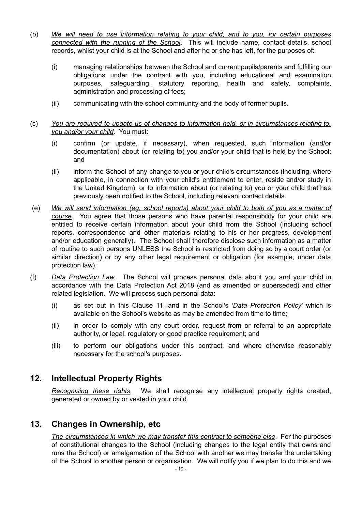- (b) *We will need to use information relating to your child, and to you, for certain purposes connected with the running of the School*. This will include name, contact details, school records, whilst your child is at the School and after he or she has left, for the purposes of:
	- (i) managing relationships between the School and current pupils/parents and fulfilling our obligations under the contract with you, including educational and examination purposes, safeguarding, statutory reporting, health and safety, complaints, administration and processing of fees;
	- (ii) communicating with the school community and the body of former pupils.

#### (c) *You are required to update us of changes to information held, or in circumstances relating to, you and/or your child*. You must:

- (i) confirm (or update, if necessary), when requested, such information (and/or documentation) about (or relating to) you and/or your child that is held by the School; and
- (ii) inform the School of any change to you or your child's circumstances (including, where applicable, in connection with your child's entitlement to enter, reside and/or study in the United Kingdom), or to information about (or relating to) you or your child that has previously been notified to the School, including relevant contact details.
- (e) *We will send information (eg, school reports) about your child to both of you as a matter of course*. You agree that those persons who have parental responsibility for your child are entitled to receive certain information about your child from the School (including school reports, correspondence and other materials relating to his or her progress, development and/or education generally). The School shall therefore disclose such information as a matter of routine to such persons UNLESS the School is restricted from doing so by a court order (or similar direction) or by any other legal requirement or obligation (for example, under data protection law).
- (f) *Data Protection Law*. The School will process personal data about you and your child in accordance with the Data Protection Act 2018 (and as amended or superseded) and other related legislation. We will process such personal data:
	- (i) as set out in this Clause 11, and in the School's *'Data Protection Policy'* which is available on the School's website as may be amended from time to time;
	- (ii) in order to comply with any court order, request from or referral to an appropriate authority, or legal, regulatory or good practice requirement; and
	- (iii) to perform our obligations under this contract, and where otherwise reasonably necessary for the school's purposes.

### **12. Intellectual Property Rights**

*Recognising these rights*. We shall recognise any intellectual property rights created, generated or owned by or vested in your child.

### **13. Changes in Ownership, etc**

*The circumstances in which we may transfer this contract to someone else*. For the purposes of constitutional changes to the School (including changes to the legal entity that owns and runs the School) or amalgamation of the School with another we may transfer the undertaking of the School to another person or organisation. We will notify you if we plan to do this and we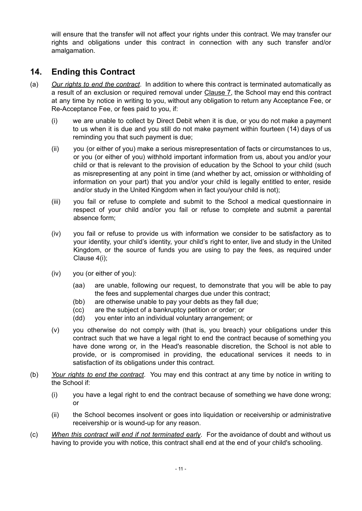will ensure that the transfer will not affect your rights under this contract. We may transfer our rights and obligations under this contract in connection with any such transfer and/or amalgamation.

# **14. Ending this Contract**

- (a) *Our rights to end the contract*. In addition to where this contract is terminated automatically as a result of an exclusion or required removal under Clause 7, the School may end this contract at any time by notice in writing to you, without any obligation to return any Acceptance Fee, or Re-Acceptance Fee, or fees paid to you, if:
	- (i) we are unable to collect by Direct Debit when it is due, or you do not make a payment to us when it is due and you still do not make payment within fourteen (14) days of us reminding you that such payment is due;
	- (ii) you (or either of you) make a serious misrepresentation of facts or circumstances to us, or you (or either of you) withhold important information from us, about you and/or your child or that is relevant to the provision of education by the School to your child (such as misrepresenting at any point in time (and whether by act, omission or withholding of information on your part) that you and/or your child is legally entitled to enter, reside and/or study in the United Kingdom when in fact you/your child is not);
	- (iii) you fail or refuse to complete and submit to the School a medical questionnaire in respect of your child and/or you fail or refuse to complete and submit a parental absence form;
	- (iv) you fail or refuse to provide us with information we consider to be satisfactory as to your identity, your child's identity, your child's right to enter, live and study in the United Kingdom, or the source of funds you are using to pay the fees, as required under Clause 4(i);
	- (iv) you (or either of you):
		- (aa) are unable, following our request, to demonstrate that you will be able to pay the fees and supplemental charges due under this contract;
		- (bb) are otherwise unable to pay your debts as they fall due;
		- (cc) are the subject of a bankruptcy petition or order; or
		- (dd) you enter into an individual voluntary arrangement; or
	- (v) you otherwise do not comply with (that is, you breach) your obligations under this contract such that we have a legal right to end the contract because of something you have done wrong or, in the Head's reasonable discretion, the School is not able to provide, or is compromised in providing, the educational services it needs to in satisfaction of its obligations under this contract.
- (b) *Your rights to end the contract*. You may end this contract at any time by notice in writing to the School if:
	- (i) you have a legal right to end the contract because of something we have done wrong; or
	- (ii) the School becomes insolvent or goes into liquidation or receivership or administrative receivership or is wound-up for any reason.
- (c) *When this contract will end if not terminated early*. For the avoidance of doubt and without us having to provide you with notice, this contract shall end at the end of your child's schooling.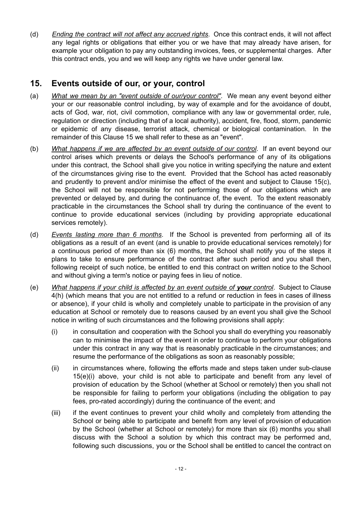(d) *Ending the contract will not affect any accrued rights*. Once this contract ends, it will not affect any legal rights or obligations that either you or we have that may already have arisen, for example your obligation to pay any outstanding invoices, fees, or supplemental charges. After this contract ends, you and we will keep any rights we have under general law.

## **15. Events outside of our, or your, control**

- (a) *What we mean by an "event outside of our/your control"*. We mean any event beyond either your or our reasonable control including, by way of example and for the avoidance of doubt, acts of God, war, riot, civil commotion, compliance with any law or governmental order, rule, regulation or direction (including that of a local authority), accident, fire, flood, storm, pandemic or epidemic of any disease, terrorist attack, chemical or biological contamination. In the remainder of this Clause 15 we shall refer to these as an "event".
- (b) *What happens if we are affected by an event outside of our control*. If an event beyond our control arises which prevents or delays the School's performance of any of its obligations under this contract, the School shall give you notice in writing specifying the nature and extent of the circumstances giving rise to the event. Provided that the School has acted reasonably and prudently to prevent and/or minimise the effect of the event and subject to Clause 15(c), the School will not be responsible for not performing those of our obligations which are prevented or delayed by, and during the continuance of, the event. To the extent reasonably practicable in the circumstances the School shall try during the continuance of the event to continue to provide educational services (including by providing appropriate educational services remotely).
- (d) *Events lasting more than 6 months*. If the School is prevented from performing all of its obligations as a result of an event (and is unable to provide educational services remotely) for a continuous period of more than six (6) months, the School shall notify you of the steps it plans to take to ensure performance of the contract after such period and you shall then, following receipt of such notice, be entitled to end this contract on written notice to the School and without giving a term's notice or paying fees in lieu of notice.
- (e) *What happens if your child is affected by an event outside of your control*. Subject to Clause 4(h) (which means that you are not entitled to a refund or reduction in fees in cases of illness or absence), if your child is wholly and completely unable to participate in the provision of any education at School or remotely due to reasons caused by an event you shall give the School notice in writing of such circumstances and the following provisions shall apply:
	- (i) in consultation and cooperation with the School you shall do everything you reasonably can to minimise the impact of the event in order to continue to perform your obligations under this contract in any way that is reasonably practicable in the circumstances; and resume the performance of the obligations as soon as reasonably possible;
	- (ii) in circumstances where, following the efforts made and steps taken under sub-clause 15(e)(i) above, your child is not able to participate and benefit from any level of provision of education by the School (whether at School or remotely) then you shall not be responsible for failing to perform your obligations (including the obligation to pay fees, pro-rated accordingly) during the continuance of the event; and
	- (iii) if the event continues to prevent your child wholly and completely from attending the School or being able to participate and benefit from any level of provision of education by the School (whether at School or remotely) for more than six (6) months you shall discuss with the School a solution by which this contract may be performed and, following such discussions, you or the School shall be entitled to cancel the contract on